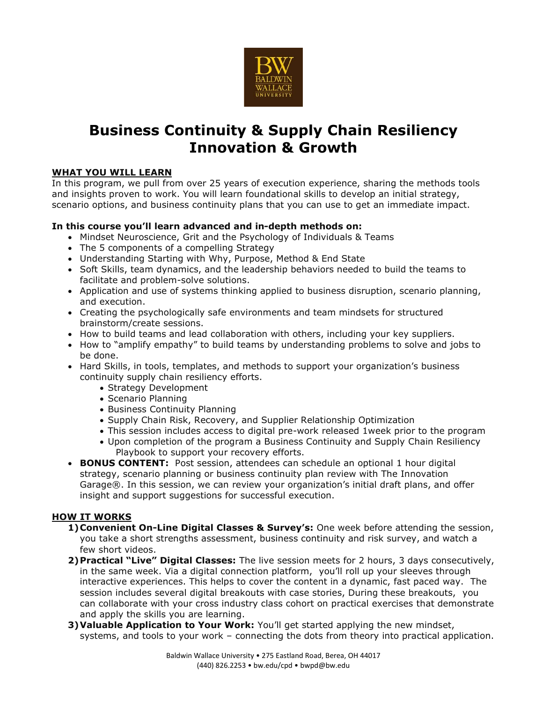

## **Business Continuity & Supply Chain Resiliency Innovation & Growth**

## **WHAT YOU WILL LEARN**

In this program, we pull from over 25 years of execution experience, sharing the methods tools and insights proven to work. You will learn foundational skills to develop an initial strategy, scenario options, and business continuity plans that you can use to get an immediate impact.

## **In this course you'll learn advanced and in-depth methods on:**

- Mindset Neuroscience, Grit and the Psychology of Individuals & Teams
- The 5 components of a compelling Strategy
- Understanding Starting with Why, Purpose, Method & End State
- Soft Skills, team dynamics, and the leadership behaviors needed to build the teams to facilitate and problem-solve solutions.
- Application and use of systems thinking applied to business disruption, scenario planning, and execution.
- Creating the psychologically safe environments and team mindsets for structured brainstorm/create sessions.
- How to build teams and lead collaboration with others, including your key suppliers.
- How to "amplify empathy" to build teams by understanding problems to solve and jobs to be done.
- Hard Skills, in tools, templates, and methods to support your organization's business continuity supply chain resiliency efforts.
	- Strategy Development
	- Scenario Planning
	- Business Continuity Planning
	- Supply Chain Risk, Recovery, and Supplier Relationship Optimization
	- This session includes access to digital pre-work released 1week prior to the program
	- Upon completion of the program a Business Continuity and Supply Chain Resiliency Playbook to support your recovery efforts.
- **BONUS CONTENT:** Post session, attendees can schedule an optional 1 hour digital strategy, scenario planning or business continuity plan review with The Innovation Garage®. In this session, we can review your organization's initial draft plans, and offer insight and support suggestions for successful execution.

## **HOW IT WORKS**

- **1)Convenient On-Line Digital Classes & Survey's:** One week before attending the session, you take a short strengths assessment, business continuity and risk survey, and watch a few short videos.
- **2)Practical "Live" Digital Classes:** The live session meets for 2 hours, 3 days consecutively, in the same week. Via a digital connection platform, you'll roll up your sleeves through interactive experiences. This helps to cover the content in a dynamic, fast paced way. The session includes several digital breakouts with case stories, During these breakouts, you can collaborate with your cross industry class cohort on practical exercises that demonstrate and apply the skills you are learning.
- **3) Valuable Application to Your Work:** You'll get started applying the new mindset, systems, and tools to your work – connecting the dots from theory into practical application.